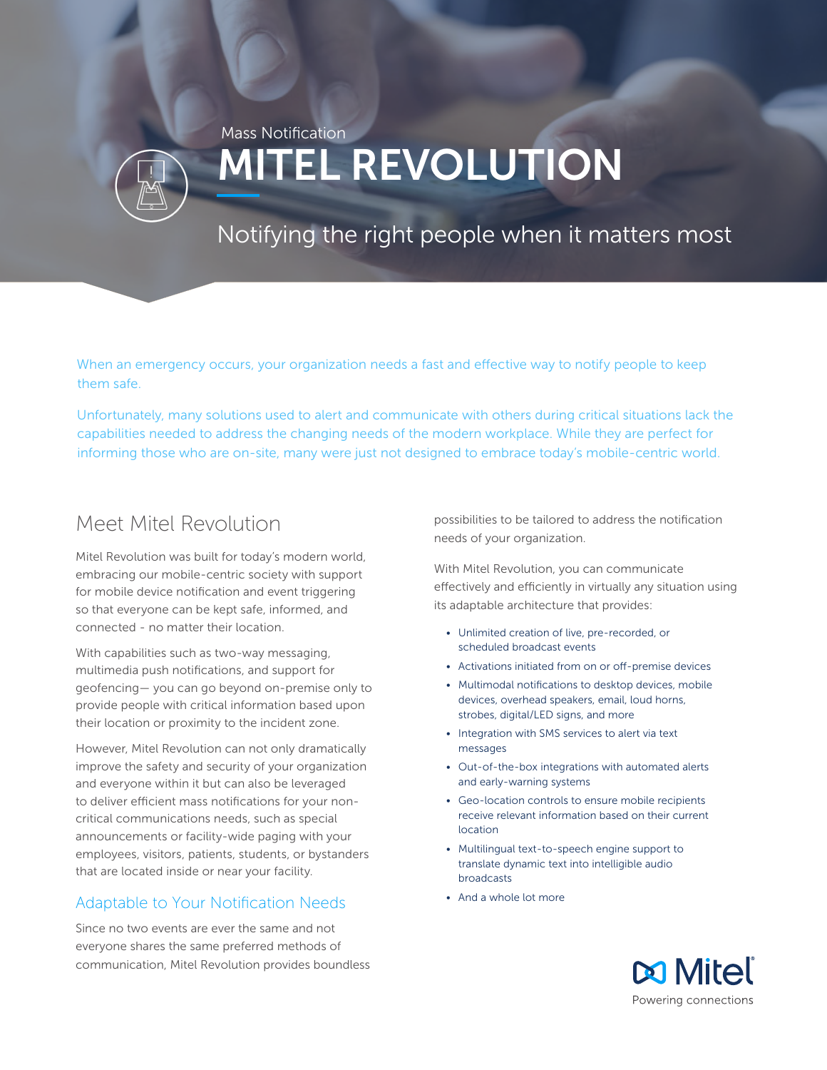# MITEL REVOLUTION Mass Notification

## Notifying the right people when it matters most

When an emergency occurs, your organization needs a fast and effective way to notify people to keep them safe.

Unfortunately, many solutions used to alert and communicate with others during critical situations lack the capabilities needed to address the changing needs of the modern workplace. While they are perfect for informing those who are on-site, many were just not designed to embrace today's mobile-centric world.

### Meet Mitel Revolution

Mitel Revolution was built for today's modern world, embracing our mobile-centric society with support for mobile device notification and event triggering so that everyone can be kept safe, informed, and connected - no matter their location.

With capabilities such as two-way messaging, multimedia push notifications, and support for geofencing— you can go beyond on-premise only to provide people with critical information based upon their location or proximity to the incident zone.

However, Mitel Revolution can not only dramatically improve the safety and security of your organization and everyone within it but can also be leveraged to deliver efficient mass notifications for your noncritical communications needs, such as special announcements or facility-wide paging with your employees, visitors, patients, students, or bystanders that are located inside or near your facility.

#### Adaptable to Your Notification Needs

Since no two events are ever the same and not everyone shares the same preferred methods of communication, Mitel Revolution provides boundless possibilities to be tailored to address the notification needs of your organization.

With Mitel Revolution, you can communicate effectively and efficiently in virtually any situation using its adaptable architecture that provides:

- Unlimited creation of live, pre-recorded, or scheduled broadcast events
- Activations initiated from on or off-premise devices
- Multimodal notifications to desktop devices, mobile devices, overhead speakers, email, loud horns, strobes, digital/LED signs, and more
- Integration with SMS services to alert via text messages
- Out-of-the-box integrations with automated alerts and early-warning systems
- Geo-location controls to ensure mobile recipients receive relevant information based on their current location
- Multilingual text-to-speech engine support to translate dynamic text into intelligible audio broadcasts
- And a whole lot more